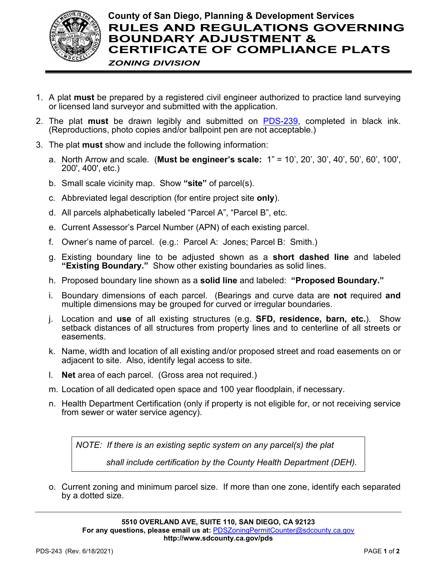

- 1. A plat **must** be prepared by a registered civil engineer authorized to practice land surveying or licensed land surveyor and submitted with the application.
- 2. The plat **must** be drawn legibly and submitted on [PDS-239,](http://www.sdcounty.ca.gov/pds/zoning/formfields/PDS-PLN-239.pdf) completed in black ink. (Reproductions, photo copies and/or ballpoint pen are not acceptable.)
- 3. The plat **must** show and include the following information:
	- a. North Arrow and scale. (**Must be engineer's scale:** 1" = 10', 20', 30', 40', 50', 60', 100', 200', 400', etc.)
	- b. Small scale vicinity map. Show **"site"** of parcel(s).
	- c. Abbreviated legal description (for entire project site **only**).
	- d. All parcels alphabetically labeled "Parcel A", "Parcel B", etc.
	- e. Current Assessor's Parcel Number (APN) of each existing parcel.
	- f. Owner's name of parcel. (e.g.: Parcel A: Jones; Parcel B: Smith.)
	- g. Existing boundary line to be adjusted shown as a **short dashed line** and labeled **"Existing Boundary."** Show other existing boundaries as solid lines.
	- h. Proposed boundary line shown as a **solid line** and labeled: **"Proposed Boundary."**
	- i. Boundary dimensions of each parcel. (Bearings and curve data are **not** required **and** multiple dimensions may be grouped for curved or irregular boundaries.
	- j. Location and **use** of all existing structures (e.g. **SFD, residence, barn, etc.**). Show setback distances of all structures from property lines and to centerline of all streets or easements.
	- k. Name, width and location of all existing and/or proposed street and road easements on or adjacent to site. Also, identify legal access to site.
	- l. **Net** area of each parcel. (Gross area not required.)
	- m. Location of all dedicated open space and 100 year floodplain, if necessary.
	- n. Health Department Certification (only if property is not eligible for, or not receiving service from sewer or water service agency).

*NOTE: If there is an existing septic system on any parcel(s) the plat*

 *shall include certification by the County Health Department (DEH).*

o. Current zoning and minimum parcel size. If more than one zone, identify each separated by a dotted size.